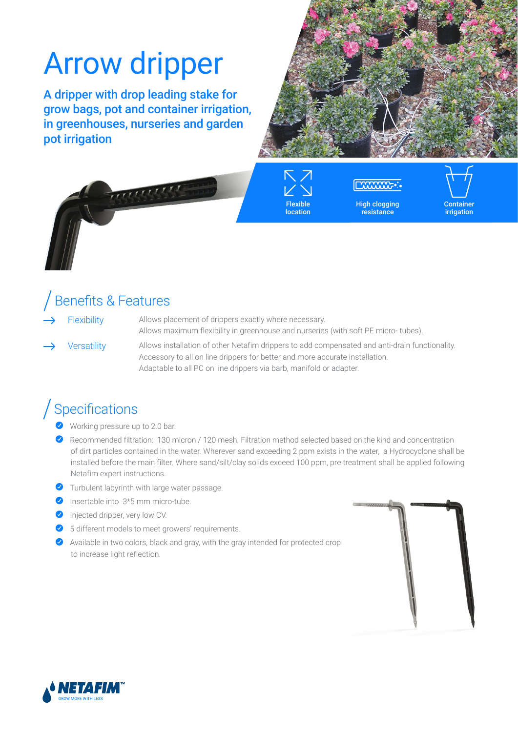# Arrow dripper

A dripper with drop leading stake for grow bags, pot and container irrigation, in greenhouses, nurseries and garden pot irrigation



Flexible location

High clogging resistance



## Benefits & Features

Flexibility Allows placement of drippers exactly where necessary. Allows maximum flexibility in greenhouse and nurseries (with soft PE micro- tubes).

Versatility Allows installation of other Netafim drippers to add compensated and anti-drain functionality. Accessory to all on line drippers for better and more accurate installation. Adaptable to all PC on line drippers via barb, manifold or adapter.

## Specifications

- Working pressure up to 2.0 bar.
- Recommended filtration: 130 micron / 120 mesh. Filtration method selected based on the kind and concentration of dirt particles contained in the water. Wherever sand exceeding 2 ppm exists in the water, a Hydrocyclone shall be installed before the main filter. Where sand/silt/clay solids exceed 100 ppm, pre treatment shall be applied following Netafim expert instructions.
- ◆ Turbulent labyrinth with large water passage.
- $\bullet$  Insertable into  $3*5$  mm micro-tube.
- **Injected dripper, very low CV.**
- ◆ 5 different models to meet growers' requirements.
- Available in two colors, black and gray, with the gray intended for protected crop to increase light reflection.